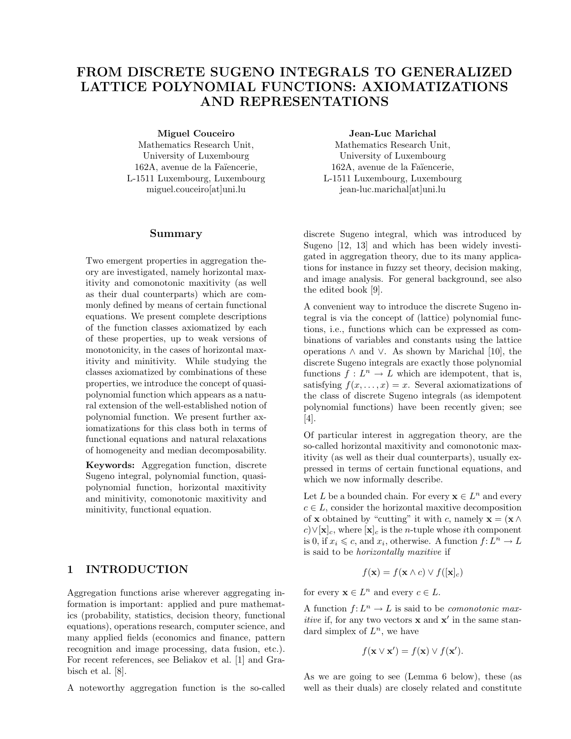# FROM DISCRETE SUGENO INTEGRALS TO GENERALIZED LATTICE POLYNOMIAL FUNCTIONS: AXIOMATIZATIONS AND REPRESENTATIONS

Miguel Couceiro

Mathematics Research Unit, University of Luxembourg 162A, avenue de la Faïencerie, L-1511 Luxembourg, Luxembourg miguel.couceiro[at]uni.lu

#### Summary

Two emergent properties in aggregation theory are investigated, namely horizontal maxitivity and comonotonic maxitivity (as well as their dual counterparts) which are commonly defined by means of certain functional equations. We present complete descriptions of the function classes axiomatized by each of these properties, up to weak versions of monotonicity, in the cases of horizontal maxitivity and minitivity. While studying the classes axiomatized by combinations of these properties, we introduce the concept of quasipolynomial function which appears as a natural extension of the well-established notion of polynomial function. We present further axiomatizations for this class both in terms of functional equations and natural relaxations of homogeneity and median decomposability.

Keywords: Aggregation function, discrete Sugeno integral, polynomial function, quasipolynomial function, horizontal maxitivity and minitivity, comonotonic maxitivity and minitivity, functional equation.

# 1 INTRODUCTION

Aggregation functions arise wherever aggregating information is important: applied and pure mathematics (probability, statistics, decision theory, functional equations), operations research, computer science, and many applied fields (economics and finance, pattern recognition and image processing, data fusion, etc.). For recent references, see Beliakov et al. [1] and Grabisch et al. [8].

A noteworthy aggregation function is the so-called

Jean-Luc Marichal

Mathematics Research Unit, University of Luxembourg 162A, avenue de la Faïencerie, L-1511 Luxembourg, Luxembourg jean-luc.marichal[at]uni.lu

discrete Sugeno integral, which was introduced by Sugeno [12, 13] and which has been widely investigated in aggregation theory, due to its many applications for instance in fuzzy set theory, decision making, and image analysis. For general background, see also the edited book [9].

A convenient way to introduce the discrete Sugeno integral is via the concept of (lattice) polynomial functions, i.e., functions which can be expressed as combinations of variables and constants using the lattice operations ∧ and ∨. As shown by Marichal [10], the discrete Sugeno integrals are exactly those polynomial functions  $f: L^n \to L$  which are idempotent, that is, satisfying  $f(x, \ldots, x) = x$ . Several axiomatizations of the class of discrete Sugeno integrals (as idempotent polynomial functions) have been recently given; see [4].

Of particular interest in aggregation theory, are the so-called horizontal maxitivity and comonotonic maxitivity (as well as their dual counterparts), usually expressed in terms of certain functional equations, and which we now informally describe.

Let L be a bounded chain. For every  $\mathbf{x} \in L^n$  and every  $c \in L$ , consider the horizontal maxitive decomposition of **x** obtained by "cutting" it with c, namely  $\mathbf{x} = (\mathbf{x} \wedge$  $c) \vee [\mathbf{x}]_c$ , where  $[\mathbf{x}]_c$  is the *n*-tuple whose *i*th component is 0, if  $x_i \leq c$ , and  $x_i$ , otherwise. A function  $f: L^n \to L$ is said to be horizontally maxitive if

$$
f(\mathbf{x}) = f(\mathbf{x} \wedge c) \vee f([\mathbf{x}]_c)
$$

for every  $\mathbf{x} \in L^n$  and every  $c \in L$ .

A function  $f: L^n \to L$  is said to be *comonotonic maxitive* if, for any two vectors  $\mathbf x$  and  $\mathbf x'$  in the same standard simplex of  $L^n$ , we have

$$
f(\mathbf{x} \vee \mathbf{x}') = f(\mathbf{x}) \vee f(\mathbf{x}').
$$

As we are going to see (Lemma 6 below), these (as well as their duals) are closely related and constitute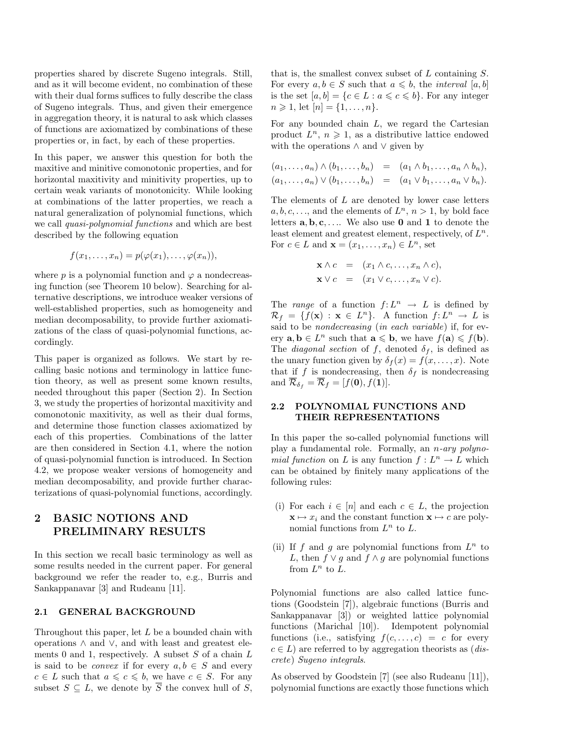properties shared by discrete Sugeno integrals. Still, and as it will become evident, no combination of these with their dual forms suffices to fully describe the class of Sugeno integrals. Thus, and given their emergence in aggregation theory, it is natural to ask which classes of functions are axiomatized by combinations of these properties or, in fact, by each of these properties.

In this paper, we answer this question for both the maxitive and minitive comonotonic properties, and for horizontal maxitivity and minitivity properties, up to certain weak variants of monotonicity. While looking at combinations of the latter properties, we reach a natural generalization of polynomial functions, which we call quasi-polynomial functions and which are best described by the following equation

$$
f(x_1,\ldots,x_n)=p(\varphi(x_1),\ldots,\varphi(x_n)),
$$

where p is a polynomial function and  $\varphi$  a nondecreasing function (see Theorem 10 below). Searching for alternative descriptions, we introduce weaker versions of well-established properties, such as homogeneity and median decomposability, to provide further axiomatizations of the class of quasi-polynomial functions, accordingly.

This paper is organized as follows. We start by recalling basic notions and terminology in lattice function theory, as well as present some known results, needed throughout this paper (Section 2). In Section 3, we study the properties of horizontal maxitivity and comonotonic maxitivity, as well as their dual forms, and determine those function classes axiomatized by each of this properties. Combinations of the latter are then considered in Section 4.1, where the notion of quasi-polynomial function is introduced. In Section 4.2, we propose weaker versions of homogeneity and median decomposability, and provide further characterizations of quasi-polynomial functions, accordingly.

# 2 BASIC NOTIONS AND PRELIMINARY RESULTS

In this section we recall basic terminology as well as some results needed in the current paper. For general background we refer the reader to, e.g., Burris and Sankappanavar [3] and Rudeanu [11].

#### 2.1 GENERAL BACKGROUND

Throughout this paper, let  $L$  be a bounded chain with operations ∧ and ∨, and with least and greatest elements 0 and 1, respectively. A subset  $S$  of a chain  $L$ is said to be *convex* if for every  $a, b \in S$  and every  $c \in L$  such that  $a \leq c \leq b$ , we have  $c \in S$ . For any subset  $S \subseteq L$ , we denote by  $\overline{S}$  the convex hull of S,

that is, the smallest convex subset of  $L$  containing  $S$ . For every  $a, b \in S$  such that  $a \leq b$ , the *interval* [a, b] is the set  $[a, b] = \{c \in L : a \leqslant c \leqslant b\}$ . For any integer  $n \geq 1$ , let  $[n] = \{1, \ldots, n\}$ .

For any bounded chain  $L$ , we regard the Cartesian product  $L^n$ ,  $n \geq 1$ , as a distributive lattice endowed with the operations ∧ and ∨ given by

$$
(a_1, \ldots, a_n) \wedge (b_1, \ldots, b_n) = (a_1 \wedge b_1, \ldots, a_n \wedge b_n),
$$
  

$$
(a_1, \ldots, a_n) \vee (b_1, \ldots, b_n) = (a_1 \vee b_1, \ldots, a_n \vee b_n).
$$

The elements of  $L$  are denoted by lower case letters  $a, b, c, \ldots$ , and the elements of  $L^n$ ,  $n > 1$ , by bold face letters  $\mathbf{a}, \mathbf{b}, \mathbf{c}, \ldots$  We also use 0 and 1 to denote the least element and greatest element, respectively, of  $L^n$ . For  $c \in L$  and  $\mathbf{x} = (x_1, \dots, x_n) \in L^n$ , set

$$
\mathbf{x} \wedge c = (x_1 \wedge c, \dots, x_n \wedge c),
$$
  

$$
\mathbf{x} \vee c = (x_1 \vee c, \dots, x_n \vee c).
$$

The range of a function  $f: L^n \to L$  is defined by  $\mathcal{R}_f = \{f(\mathbf{x}) : \mathbf{x} \in L^n\}.$  A function  $f: L^n \to L$  is said to be nondecreasing (in each variable) if, for every  $\mathbf{a}, \mathbf{b} \in L^n$  such that  $\mathbf{a} \leqslant \mathbf{b}$ , we have  $f(\mathbf{a}) \leqslant f(\mathbf{b})$ . The *diagonal section* of f, denoted  $\delta_f$ , is defined as the unary function given by  $\delta_f(x) = f(x, \dots, x)$ . Note that if f is nondecreasing, then  $\delta_f$  is nondecreasing and  $\overline{\mathcal{R}}_{\delta_f} = \overline{\mathcal{R}}_f = [f(\mathbf{0}), f(\mathbf{1})].$ 

### 2.2 POLYNOMIAL FUNCTIONS AND THEIR REPRESENTATIONS

In this paper the so-called polynomial functions will play a fundamental role. Formally, an n-ary polynomial function on L is any function  $f: L^n \to L$  which can be obtained by finitely many applications of the following rules:

- (i) For each  $i \in [n]$  and each  $c \in L$ , the projection  $\mathbf{x} \mapsto x_i$  and the constant function  $\mathbf{x} \mapsto c$  are polynomial functions from  $L^n$  to  $L$ .
- (ii) If f and g are polynomial functions from  $L^n$  to L, then  $f \vee g$  and  $f \wedge g$  are polynomial functions from  $L^n$  to  $L$ .

Polynomial functions are also called lattice functions (Goodstein [7]), algebraic functions (Burris and Sankappanavar [3]) or weighted lattice polynomial functions (Marichal [10]). Idempotent polynomial functions (i.e., satisfying  $f(c, \ldots, c) = c$  for every  $c \in L$ ) are referred to by aggregation theorists as (*dis*crete) Sugeno integrals.

As observed by Goodstein [7] (see also Rudeanu [11]), polynomial functions are exactly those functions which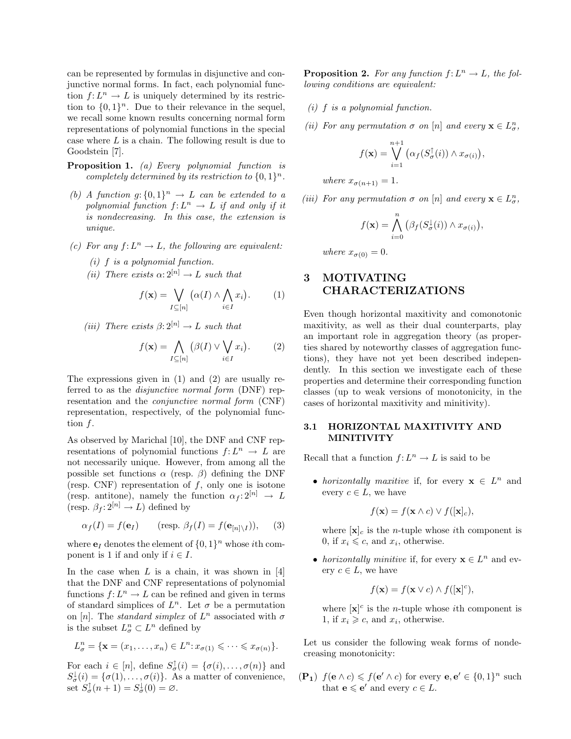can be represented by formulas in disjunctive and conjunctive normal forms. In fact, each polynomial function  $f: L^n \to L$  is uniquely determined by its restriction to  $\{0,1\}^n$ . Due to their relevance in the sequel, we recall some known results concerning normal form representations of polynomial functions in the special case where  $L$  is a chain. The following result is due to Goodstein [7].

- Proposition 1. (a) Every polynomial function is completely determined by its restriction to  $\{0,1\}^n$ .
- (b) A function  $g: \{0,1\}^n \to L$  can be extended to a polynomial function  $f: L^n \to L$  if and only if it is nondecreasing. In this case, the extension is unique.
- (c) For any  $f: L^n \to L$ , the following are equivalent:
	- $(i)$  f is a polynomial function.
	- (ii) There exists  $\alpha: 2^{[n]} \to L$  such that

$$
f(\mathbf{x}) = \bigvee_{I \subseteq [n]} \left( \alpha(I) \land \bigwedge_{i \in I} x_i \right). \tag{1}
$$

(iii) There exists  $\beta: 2^{[n]} \to L$  such that

$$
f(\mathbf{x}) = \bigwedge_{I \subseteq [n]} (\beta(I) \vee \bigvee_{i \in I} x_i).
$$
 (2)

The expressions given in (1) and (2) are usually referred to as the *disjunctive normal form* (DNF) representation and the conjunctive normal form (CNF) representation, respectively, of the polynomial function f.

As observed by Marichal [10], the DNF and CNF representations of polynomial functions  $f: L^n \to L$  are not necessarily unique. However, from among all the possible set functions  $\alpha$  (resp.  $\beta$ ) defining the DNF (resp. CNF) representation of  $f$ , only one is isotone (resp. antitone), namely the function  $\alpha_f : 2^{[n]} \to L$ (resp.  $\beta_f : 2^{[n]} \to L$ ) defined by

$$
\alpha_f(I) = f(\mathbf{e}_I) \qquad (\text{resp. } \beta_f(I) = f(\mathbf{e}_{[n]\setminus I})), \qquad (3)
$$

where  $\mathbf{e}_I$  denotes the element of  $\{0,1\}^n$  whose *i*th component is 1 if and only if  $i \in I$ .

In the case when  $L$  is a chain, it was shown in [4] that the DNF and CNF representations of polynomial functions  $f: L^n \to L$  can be refined and given in terms of standard simplices of  $L^n$ . Let  $\sigma$  be a permutation on [n]. The *standard simplex* of  $L^n$  associated with  $\sigma$ is the subset  $L_{\sigma}^n \subset L^n$  defined by

$$
L^n_{\sigma} = \{ \mathbf{x} = (x_1, \dots, x_n) \in L^n : x_{\sigma(1)} \leqslant \dots \leqslant x_{\sigma(n)} \}.
$$

For each  $i \in [n]$ , define  $S_{\sigma}^{\uparrow}(i) = {\sigma(i), \ldots, \sigma(n)}$  and  $S_{\sigma}^{\downarrow}(i) = {\sigma(1), \ldots, \sigma(i)}$ . As a matter of convenience, set  $S_{\sigma}^{\uparrow}(n+1) = S_{\sigma}^{\downarrow}(0) = \emptyset$ .

**Proposition 2.** For any function  $f: L^n \to L$ , the following conditions are equivalent:

- (i) f is a polynomial function.
- (ii) For any permutation  $\sigma$  on  $[n]$  and every  $\mathbf{x} \in L^n_{\sigma}$ ,

$$
f(\mathbf{x}) = \bigvee_{i=1}^{n+1} (\alpha_f(S_{\sigma}^{\uparrow}(i)) \wedge x_{\sigma(i)}),
$$

where  $x_{\sigma(n+1)} = 1$ .

(iii) For any permutation  $\sigma$  on  $[n]$  and every  $\mathbf{x} \in L^n_{\sigma}$ ,

$$
f(\mathbf{x}) = \bigwedge_{i=0}^{n} \left( \beta_f(S^{\downarrow}_{\sigma}(i)) \wedge x_{\sigma(i)} \right),
$$

where  $x_{\sigma(0)} = 0$ .

# 3 MOTIVATING CHARACTERIZATIONS

Even though horizontal maxitivity and comonotonic maxitivity, as well as their dual counterparts, play an important role in aggregation theory (as properties shared by noteworthy classes of aggregation functions), they have not yet been described independently. In this section we investigate each of these properties and determine their corresponding function classes (up to weak versions of monotonicity, in the cases of horizontal maxitivity and minitivity).

### 3.1 HORIZONTAL MAXITIVITY AND MINITIVITY

Recall that a function  $f: L^n \to L$  is said to be

• horizontally maxitive if, for every  $\mathbf{x} \in L^n$  and every  $c \in L$ , we have

$$
f(\mathbf{x}) = f(\mathbf{x} \wedge c) \vee f([\mathbf{x}]_c),
$$

where  $[\mathbf{x}]_c$  is the *n*-tuple whose *i*th component is 0, if  $x_i \leq c$ , and  $x_i$ , otherwise.

• horizontally minitive if, for every  $\mathbf{x} \in L^n$  and every  $c \in L$ , we have

$$
f(\mathbf{x}) = f(\mathbf{x} \vee c) \wedge f([\mathbf{x}]^c),
$$

where  $[\mathbf{x}]^c$  is the *n*-tuple whose *i*th component is 1, if  $x_i \geq c$ , and  $x_i$ , otherwise.

Let us consider the following weak forms of nondecreasing monotonicity:

 $(\mathbf{P_1})$   $f(\mathbf{e} \wedge c) \leq f(\mathbf{e}' \wedge c)$  for every  $\mathbf{e}, \mathbf{e}' \in \{0, 1\}^n$  such that  $\mathbf{e} \leqslant \mathbf{e}'$  and every  $c \in L$ .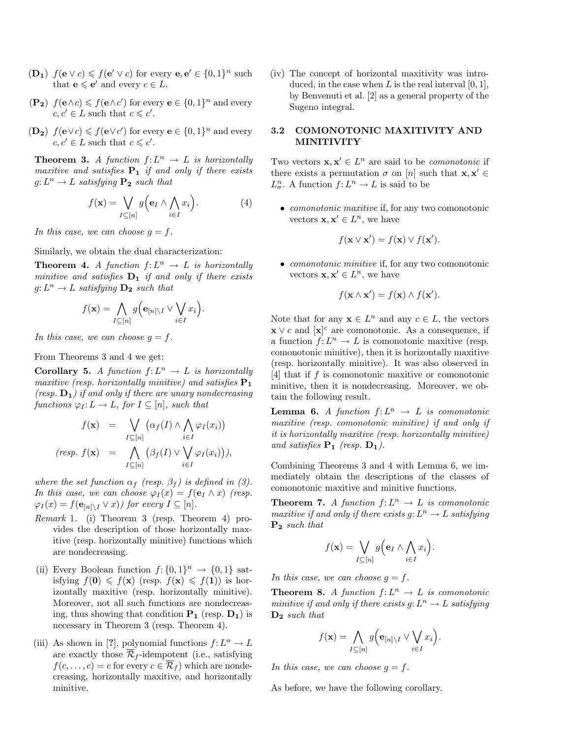- $(\mathbf{D_1})$   $f(\mathbf{e} \vee c) \leq f(\mathbf{e}' \vee c)$  for every  $\mathbf{e}, \mathbf{e}' \in \{0, 1\}^n$  such that  $\mathbf{e} \leqslant \mathbf{e}'$  and every  $c \in L$ .
- $(\mathbf{P_2})$   $f(\mathbf{e} \wedge c) \leq f(\mathbf{e} \wedge c')$  for every  $\mathbf{e} \in \{0,1\}^n$  and every  $c, c' \in L$  such that  $c \leqslant c'$ .
- (**D**<sub>2</sub>)  $f(\mathbf{e} \vee c) \leq f(\mathbf{e} \vee c')$  for every  $\mathbf{e} \in \{0,1\}^n$  and every  $c, c' \in L$  such that  $c \leqslant c'$ .

**Theorem 3.** A function  $f: L^n \to L$  is horizontally maxitive and satisfies  $P_1$  if and only if there exists  $g: L^n \to L$  satisfying  $P_2$  such that

$$
f(\mathbf{x}) = \bigvee_{I \subseteq [n]} g\Big(\mathbf{e}_I \wedge \bigwedge_{i \in I} x_i\Big). \tag{4}
$$

In this case, we can choose  $g = f$ .

Similarly, we obtain the dual characterization:

**Theorem 4.** A function  $f: L^n \to L$  is horizontally minitive and satisfies  $D_1$  if and only if there exists  $g: L^n \to L$  satisfying  $\mathbf{D_2}$  such that

$$
f(\mathbf{x}) = \bigwedge_{I \subseteq [n]} g\Big(\mathbf{e}_{[n] \setminus I} \vee \bigvee_{i \in I} x_i\Big).
$$

In this case, we can choose  $q = f$ .

From Theorems 3 and 4 we get:

**Corollary 5.** A function  $f: L^n \to L$  is horizontally maxitive (resp. horizontally minitive) and satisfies  $P_1$ (resp.  $D_1$ ) if and only if there are unary nondecreasing functions  $\varphi_I: L \to L$ , for  $I \subseteq [n]$ , such that

$$
f(\mathbf{x}) = \bigvee_{I \subseteq [n]} (\alpha_f(I) \wedge \bigwedge_{i \in I} \varphi_I(x_i))
$$
  
(resp. 
$$
f(\mathbf{x}) = \bigwedge_{I \subseteq [n]} (\beta_f(I) \vee \bigvee_{i \in I} \varphi_I(x_i))),
$$

where the set function  $\alpha_f$  (resp.  $\beta_f$ ) is defined in (3). In this case, we can choose  $\varphi_I(x) = f(\mathbf{e}_I \wedge x)$  (resp.  $\varphi_I(x) = f(\mathbf{e}_{[n] \setminus I} \vee x)$  for every  $I \subseteq [n]$ .

- Remark 1. (i) Theorem 3 (resp. Theorem 4) provides the description of those horizontally maxitive (resp. horizontally minitive) functions which are nondecreasing.
- (ii) Every Boolean function  $f: \{0, 1\}^n \to \{0, 1\}$  satisfying  $f(\mathbf{0}) \leq f(\mathbf{x})$  (resp.  $f(\mathbf{x}) \leq f(\mathbf{1})$ ) is horizontally maxitive (resp. horizontally minitive). Moreover, not all such functions are nondecreasing, thus showing that condition  $P_1$  (resp.  $D_1$ ) is necessary in Theorem 3 (resp. Theorem 4).
- (iii) As shown in [?], polynomial functions  $f: L^n \to L$ are exactly those  $\overline{\mathcal{R}}_f$ -idempotent (i.e., satisfying  $f(c, \ldots, c) = c$  for every  $c \in \overline{\mathcal{R}}_f$  which are nondecreasing, horizontally maxitive, and horizontally minitive.

(iv) The concept of horizontal maxitivity was introduced, in the case when  $L$  is the real interval  $[0, 1]$ , by Benvenuti et al. [2] as a general property of the Sugeno integral.

### 3.2 COMONOTONIC MAXITIVITY AND MINITIVITY

Two vectors  $\mathbf{x}, \mathbf{x}' \in L^n$  are said to be *comonotonic* if there exists a permutation  $\sigma$  on [n] such that  $\mathbf{x}, \mathbf{x}' \in \mathbb{R}$  $L_\sigma^n$ . A function  $f: L^n \to L$  is said to be

• *comonotonic maxitive* if, for any two comonotonic vectors  $\mathbf{x}, \mathbf{x}' \in L^n$ , we have

$$
f(\mathbf{x} \vee \mathbf{x}') = f(\mathbf{x}) \vee f(\mathbf{x}').
$$

• *comonotonic minitive* if, for any two comonotonic vectors  $\mathbf{x}, \mathbf{x}' \in L^n$ , we have

$$
f(\mathbf{x} \wedge \mathbf{x}') = f(\mathbf{x}) \wedge f(\mathbf{x}').
$$

Note that for any  $x \in L^n$  and any  $c \in L$ , the vectors  $\mathbf{x} \vee c$  and  $[\mathbf{x}]^c$  are comonotonic. As a consequence, if a function  $f: L^n \to L$  is comonotonic maxitive (resp. comonotonic minitive), then it is horizontally maxitive (resp. horizontally minitive). It was also observed in [4] that if  $f$  is comonotonic maxitive or comonotonic minitive, then it is nondecreasing. Moreover, we obtain the following result.

**Lemma 6.** A function  $f: L^n \to L$  is comonotonic maxitive (resp. comonotonic minitive) if and only if it is horizontally maxitive (resp. horizontally minitive) and satisfies  $P_1$  (resp.  $D_1$ ).

Combining Theorems 3 and 4 with Lemma 6, we immediately obtain the descriptions of the classes of comonotonic maxitive and minitive functions.

**Theorem 7.** A function  $f: L^n \to L$  is comonotonic maxitive if and only if there exists  $g: L^n \to L$  satisfying P<sup>2</sup> such that

$$
f(\mathbf{x}) = \bigvee_{I \subseteq [n]} g\Big(\mathbf{e}_I \wedge \bigwedge_{i \in I} x_i\Big).
$$

In this case, we can choose  $g = f$ .

**Theorem 8.** A function  $f: L^n \to L$  is comonotonic minitive if and only if there exists  $g: L^n \to L$  satisfying  $D_2$  such that

$$
f(\mathbf{x}) = \bigwedge_{I \subseteq [n]} g(e_{[n] \setminus I} \vee \bigvee_{i \in I} x_i).
$$

In this case, we can choose  $g = f$ .

As before, we have the following corollary.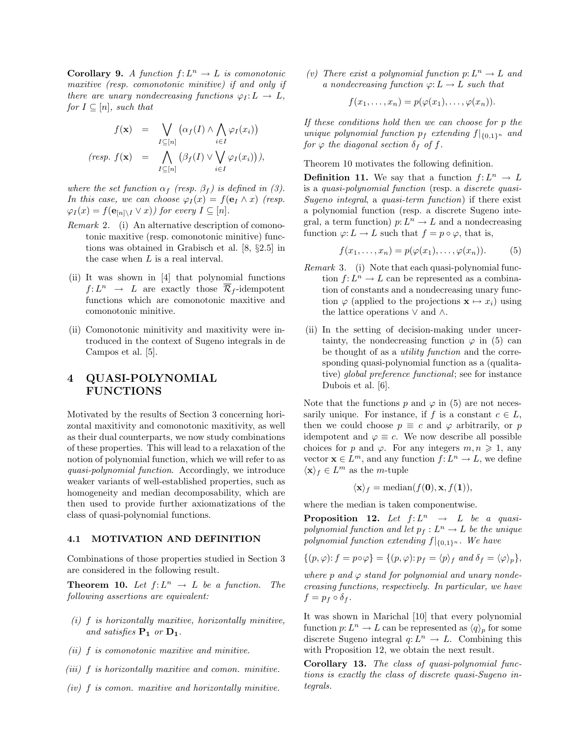**Corollary 9.** A function  $f: L^n \to L$  is comonotonic maxitive (resp. comonotonic minitive) if and only if there are unary nondecreasing functions  $\varphi_I: L \to L$ , for  $I \subseteq [n]$ , such that

$$
f(\mathbf{x}) = \bigvee_{I \subseteq [n]} (\alpha_f(I) \wedge \bigwedge_{i \in I} \varphi_I(x_i))
$$
  
(resp.  $f(\mathbf{x}) = \bigwedge_{I \subseteq [n]} (\beta_f(I) \vee \bigvee_{i \in I} \varphi_I(x_i))),$ 

where the set function  $\alpha_f$  (resp.  $\beta_f$ ) is defined in (3). In this case, we can choose  $\varphi_I(x) = f(\mathbf{e}_I \wedge x)$  (resp.  $\varphi_I(x) = f(\mathbf{e}_{[n] \setminus I} \vee x)$  for every  $I \subseteq [n]$ .

- Remark 2. (i) An alternative description of comonotonic maxitive (resp. comonotonic minitive) functions was obtained in Grabisch et al. [8, §2.5] in the case when L is a real interval.
- (ii) It was shown in [4] that polynomial functions  $f: L^n \rightarrow L$  are exactly those  $\overline{\mathcal{R}}_f$ -idempotent functions which are comonotonic maxitive and comonotonic minitive.
- (ii) Comonotonic minitivity and maxitivity were introduced in the context of Sugeno integrals in de Campos et al. [5].

## 4 QUASI-POLYNOMIAL FUNCTIONS

Motivated by the results of Section 3 concerning horizontal maxitivity and comonotonic maxitivity, as well as their dual counterparts, we now study combinations of these properties. This will lead to a relaxation of the notion of polynomial function, which we will refer to as quasi-polynomial function. Accordingly, we introduce weaker variants of well-established properties, such as homogeneity and median decomposability, which are then used to provide further axiomatizations of the class of quasi-polynomial functions.

#### 4.1 MOTIVATION AND DEFINITION

Combinations of those properties studied in Section 3 are considered in the following result.

**Theorem 10.** Let  $f: L^n \to L$  be a function. The following assertions are equivalent:

- $(i)$  f is horizontally maxitive, horizontally minitive, and satisfies  $P_1$  or  $D_1$ .
- (ii) f is comonotonic maxitive and minitive.
- (iii) f is horizontally maxitive and comon. minitive.
- $(iv)$   $f$  is comon. maxitive and horizontally minitive.

(v) There exist a polynomial function  $p: L^n \to L$  and a nondecreasing function  $\varphi: L \to L$  such that

$$
f(x_1,\ldots,x_n)=p(\varphi(x_1),\ldots,\varphi(x_n)).
$$

If these conditions hold then we can choose for p the unique polynomial function  $p_f$  extending  $f|_{\{0,1\}^n}$  and for  $\varphi$  the diagonal section  $\delta_f$  of f.

Theorem 10 motivates the following definition.

**Definition 11.** We say that a function  $f: L^n \to L$ is a quasi-polynomial function (resp. a discrete quasi-Sugeno integral, a quasi-term function) if there exist a polynomial function (resp. a discrete Sugeno integral, a term function)  $p: L^n \to L$  and a nondecreasing function  $\varphi: L \to L$  such that  $f = p \circ \varphi$ , that is,

$$
f(x_1,\ldots,x_n)=p(\varphi(x_1),\ldots,\varphi(x_n)).\qquad(5)
$$

- Remark 3. (i) Note that each quasi-polynomial function  $f: L^n \to L$  can be represented as a combination of constants and a nondecreasing unary function  $\varphi$  (applied to the projections  $\mathbf{x} \mapsto x_i$ ) using the lattice operations ∨ and ∧.
- (ii) In the setting of decision-making under uncertainty, the nondecreasing function  $\varphi$  in (5) can be thought of as a utility function and the corresponding quasi-polynomial function as a (qualitative) global preference functional; see for instance Dubois et al. [6].

Note that the functions p and  $\varphi$  in (5) are not necessarily unique. For instance, if f is a constant  $c \in L$ , then we could choose  $p \equiv c$  and  $\varphi$  arbitrarily, or p idempotent and  $\varphi \equiv c$ . We now describe all possible choices for p and  $\varphi$ . For any integers  $m, n \geq 1$ , any vector  $\mathbf{x} \in L^m$ , and any function  $f: L^n \to L$ , we define  $\langle \mathbf{x} \rangle_f \in L^m$  as the *m*-tuple

$$
\langle \mathbf{x} \rangle_f = \text{median}(f(\mathbf{0}), \mathbf{x}, f(\mathbf{1})),
$$

where the median is taken componentwise.

**Proposition 12.** Let  $f: L^n \rightarrow L$  be a quasipolynomial function and let  $p_f: L^n \to L$  be the unique polynomial function extending  $f|_{\{0,1\}^n}$ . We have

$$
\{(p,\varphi)\colon f=p\circ\varphi\}=\{(p,\varphi)\colon p_f=\langle p\rangle_f \text{ and } \delta_f=\langle \varphi\rangle_p\},\
$$

where  $p$  and  $\varphi$  stand for polynomial and unary nondecreasing functions, respectively. In particular, we have  $f = p_f \circ \delta_f$ .

It was shown in Marichal [10] that every polynomial function  $p: L^n \to L$  can be represented as  $\langle q \rangle_p$  for some discrete Sugeno integral  $q: L^n \to L$ . Combining this with Proposition 12, we obtain the next result.

Corollary 13. The class of quasi-polynomial functions is exactly the class of discrete quasi-Sugeno integrals.